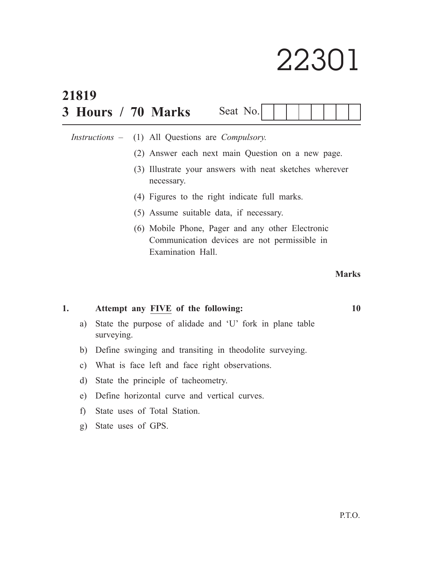# 22301

| 21819                                                                 |                                                   |  |                                           |                                                                                                                       |                                               |  |  |  |  |  |  |  |              |    |
|-----------------------------------------------------------------------|---------------------------------------------------|--|-------------------------------------------|-----------------------------------------------------------------------------------------------------------------------|-----------------------------------------------|--|--|--|--|--|--|--|--------------|----|
|                                                                       |                                                   |  |                                           | 3 Hours / 70 Marks                                                                                                    | Seat No.                                      |  |  |  |  |  |  |  |              |    |
|                                                                       | $Instructions$ $-$                                |  | (1) All Questions are <i>Compulsory</i> . |                                                                                                                       |                                               |  |  |  |  |  |  |  |              |    |
|                                                                       | (2) Answer each next main Question on a new page. |  |                                           |                                                                                                                       |                                               |  |  |  |  |  |  |  |              |    |
| (3) Illustrate your answers with neat sketches wherever<br>necessary. |                                                   |  |                                           |                                                                                                                       |                                               |  |  |  |  |  |  |  |              |    |
|                                                                       |                                                   |  |                                           |                                                                                                                       | (4) Figures to the right indicate full marks. |  |  |  |  |  |  |  |              |    |
|                                                                       |                                                   |  |                                           | (5) Assume suitable data, if necessary.                                                                               |                                               |  |  |  |  |  |  |  |              |    |
|                                                                       |                                                   |  |                                           | (6) Mobile Phone, Pager and any other Electronic<br>Communication devices are not permissible in<br>Examination Hall. |                                               |  |  |  |  |  |  |  |              |    |
|                                                                       |                                                   |  |                                           |                                                                                                                       |                                               |  |  |  |  |  |  |  | <b>Marks</b> |    |
| 1.                                                                    |                                                   |  |                                           | Attempt any FIVE of the following:                                                                                    |                                               |  |  |  |  |  |  |  |              | 10 |
| a)                                                                    | surveying.                                        |  |                                           | State the purpose of alidade and 'U' fork in plane table                                                              |                                               |  |  |  |  |  |  |  |              |    |

- b) Define swinging and transiting in theodolite surveying.
- c) What is face left and face right observations.
- d) State the principle of tacheometry.
- e) Define horizontal curve and vertical curves.
- f) State uses of Total Station.
- g) State uses of GPS.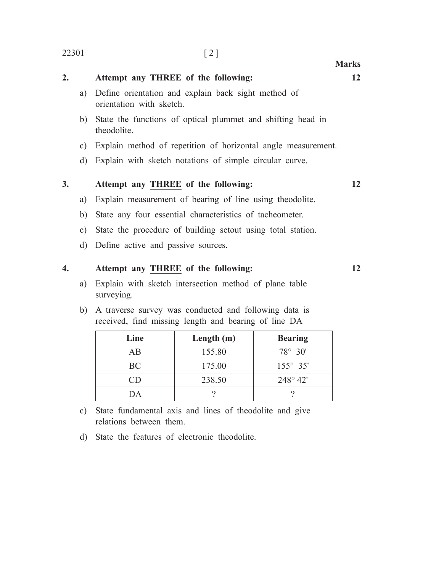| 2.        |               | Attempt any THREE of the following:                                             | 12 |
|-----------|---------------|---------------------------------------------------------------------------------|----|
|           | a)            | Define orientation and explain back sight method of<br>orientation with sketch. |    |
|           | b)            | State the functions of optical plummet and shifting head in<br>theodolite.      |    |
|           | C)            | Explain method of repetition of horizontal angle measurement.                   |    |
|           | d)            | Explain with sketch notations of simple circular curve.                         |    |
| <b>3.</b> |               | Attempt any THREE of the following:                                             | 12 |
|           | a)            | Explain measurement of bearing of line using theodolite.                        |    |
|           | b)            | State any four essential characteristics of tacheometer.                        |    |
|           | $\mathbf{c})$ | State the procedure of building setout using total station.                     |    |
|           | d)            | Define active and passive sources.                                              |    |
| 4.        |               | Attempt any THREE of the following:                                             | 12 |

# a) Explain with sketch intersection method of plane table surveying.

b) A traverse survey was conducted and following data is received, find missing length and bearing of line DA

| Line      | Length $(m)$ | <b>Bearing</b>    |
|-----------|--------------|-------------------|
| AВ        | 155.80       | $78^{\circ} 30'$  |
| <b>BC</b> | 175.00       | $155^{\circ}$ 35' |
| ( 'I )    | 238.50       | $248^{\circ} 42'$ |
| 1) A      |              |                   |

- c) State fundamental axis and lines of theodolite and give relations between them.
- d) State the features of electronic theodolite.